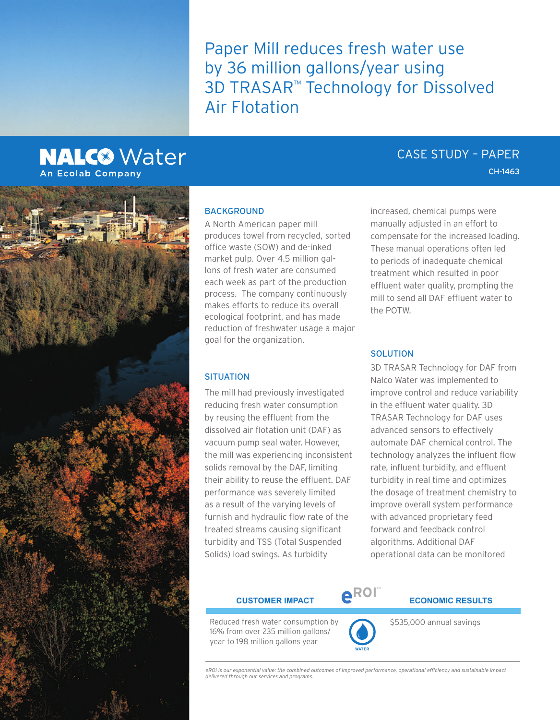Paper Mill reduces fresh water use by 36 million gallons/year using 3D TRASAR™ Technology for Dissolved Air Flotation

## **NALC<sup>®</sup>** Water **An Ecolab Company**



## **BACKGROUND**

A North American paper mill produces towel from recycled, sorted office waste (SOW) and de-inked market pulp. Over 4.5 million gallons of fresh water are consumed each week as part of the production process. The company continuously makes efforts to reduce its overall ecological footprint, and has made reduction of freshwater usage a major goal for the organization.

### **SITUATION**

The mill had previously investigated reducing fresh water consumption by reusing the effluent from the dissolved air flotation unit (DAF) as vacuum pump seal water. However, the mill was experiencing inconsistent solids removal by the DAF, limiting their ability to reuse the effluent. DAF performance was severely limited as a result of the varying levels of furnish and hydraulic flow rate of the treated streams causing significant turbidity and TSS (Total Suspended Solids) load swings. As turbidity

increased, chemical pumps were manually adjusted in an effort to compensate for the increased loading. These manual operations often led to periods of inadequate chemical treatment which resulted in poor effluent water quality, prompting the mill to send all DAF effluent water to the POTW.

## SOLUTION

3D TRASAR Technology for DAF from Nalco Water was implemented to improve control and reduce variability in the effluent water quality. 3D TRASAR Technology for DAF uses advanced sensors to effectively automate DAF chemical control. The technology analyzes the influent flow rate, influent turbidity, and effluent turbidity in real time and optimizes the dosage of treatment chemistry to improve overall system performance with advanced proprietary feed forward and feedback control algorithms. Additional DAF operational data can be monitored

Reduced fresh water consumption by 16% from over 235 million gallons/ year to 198 million gallons year



**WATER**

# $\begin{matrix} \textbf{c} & \textbf{c} & \textbf{c} \end{matrix}$  **explores the exponence of the exponence of**  $\begin{matrix} \textbf{c} & \textbf{c} \end{matrix}$

\$535,000 annual savings

*eROI is our exponential value: the combined outcomes of improved performance, operational efficiency and sustainable impact delivered through our services and programs.*

## CASE STUDY – PAPER

CH-1463